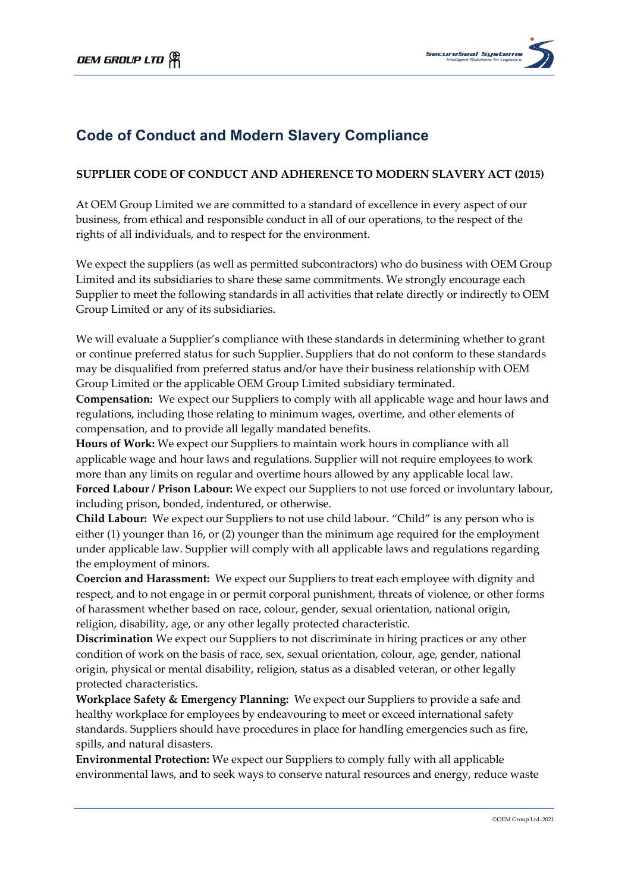

## **Code of Conduct and Modern Slavery Compliance**

## **SUPPLIER CODE OF CONDUCT AND ADHERENCE TO MODERN SLAVERY ACT (2015)**

At OEM Group Limited we are committed to a standard of excellence in every aspect of our business, from ethical and responsible conduct in all of our operations, to the respect of the rights of all individuals, and to respect for the environment.

We expect the suppliers (as well as permitted subcontractors) who do business with OEM Group Limited and its subsidiaries to share these same commitments. We strongly encourage each Supplier to meet the following standards in all activities that relate directly or indirectly to OEM Group Limited or any of its subsidiaries.

We will evaluate a Supplier's compliance with these standards in determining whether to grant or continue preferred status for such Supplier. Suppliers that do not conform to these standards may be disqualified from preferred status and/or have their business relationship with OEM Group Limited or the applicable OEM Group Limited subsidiary terminated.

**Compensation:** We expect our Suppliers to comply with all applicable wage and hour laws and regulations, including those relating to minimum wages, overtime, and other elements of compensation, and to provide all legally mandated benefits.

**Hours of Work:** We expect our Suppliers to maintain work hours in compliance with all applicable wage and hour laws and regulations. Supplier will not require employees to work more than any limits on regular and overtime hours allowed by any applicable local law. **Forced Labour / Prison Labour:** We expect our Suppliers to not use forced or involuntary labour, including prison, bonded, indentured, or otherwise.

**Child Labour:** We expect our Suppliers to not use child labour. "Child" is any person who is either (1) younger than 16, or (2) younger than the minimum age required for the employment under applicable law. Supplier will comply with all applicable laws and regulations regarding the employment of minors.

**Coercion and Harassment:** We expect our Suppliers to treat each employee with dignity and respect, and to not engage in or permit corporal punishment, threats of violence, or other forms of harassment whether based on race, colour, gender, sexual orientation, national origin, religion, disability, age, or any other legally protected characteristic.

**Discrimination** We expect our Suppliers to not discriminate in hiring practices or any other condition of work on the basis of race, sex, sexual orientation, colour, age, gender, national origin, physical or mental disability, religion, status as a disabled veteran, or other legally protected characteristics.

**Workplace Safety & Emergency Planning:** We expect our Suppliers to provide a safe and healthy workplace for employees by endeavouring to meet or exceed international safety standards. Suppliers should have procedures in place for handling emergencies such as fire, spills, and natural disasters.

**Environmental Protection:** We expect our Suppliers to comply fully with all applicable environmental laws, and to seek ways to conserve natural resources and energy, reduce waste